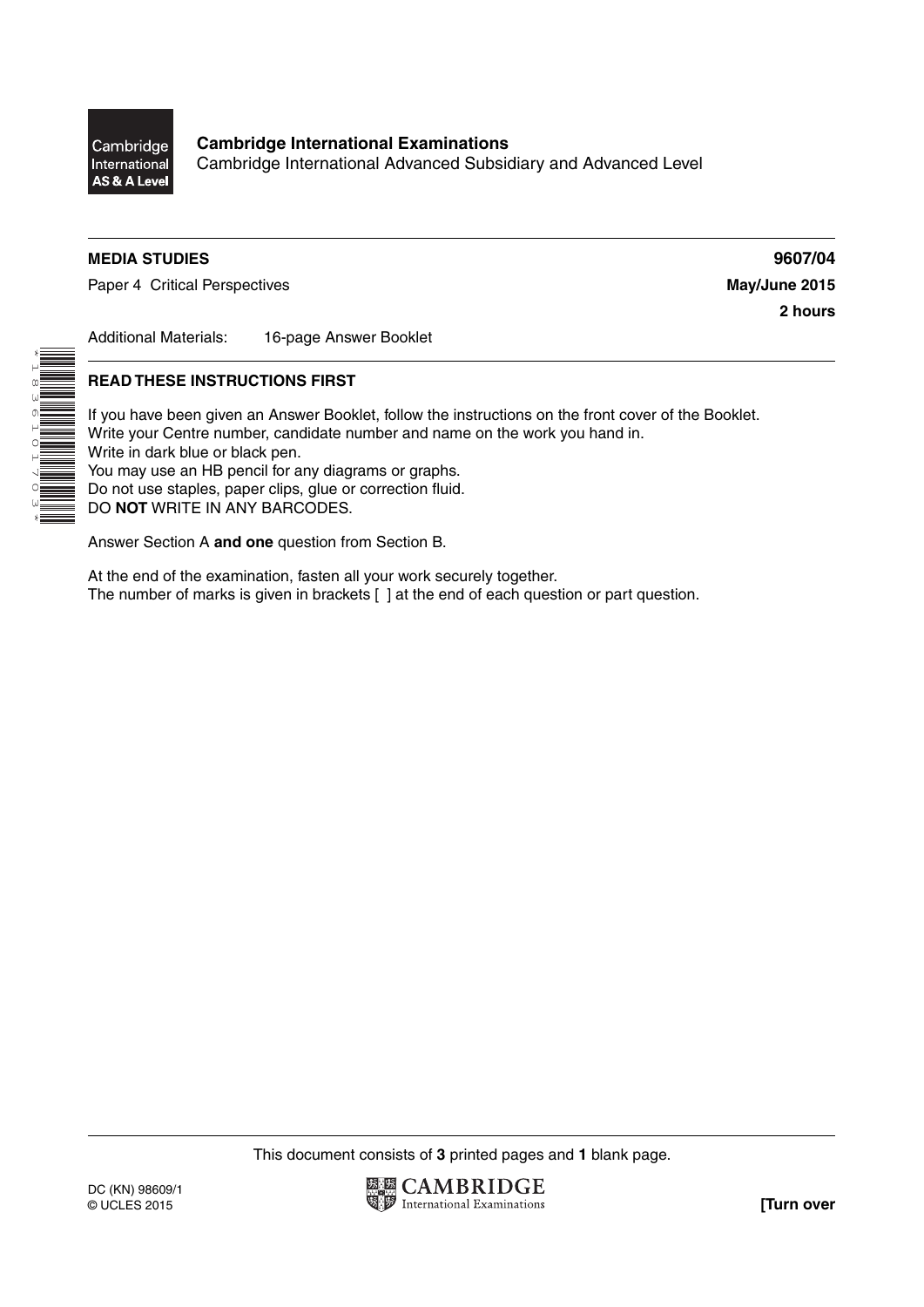

\*1836101703\*

HILLE

Cambridge International Advanced Subsidiary and Advanced Level

## **MEDIA STUDIES 9607/04**

Paper 4 Critical Perspectives **May/June 2015** 

**2 hours**

Additional Materials: 16-page Answer Booklet

#### **READ THESE INSTRUCTIONS FIRST**

If you have been given an Answer Booklet, follow the instructions on the front cover of the Booklet. Write your Centre number, candidate number and name on the work you hand in. Write in dark blue or black pen. You may use an HB pencil for any diagrams or graphs. Do not use staples, paper clips, glue or correction fluid. DO **NOT** WRITE IN ANY BARCODES.

Answer Section A **and one** question from Section B.

At the end of the examination, fasten all your work securely together. The number of marks is given in brackets [ ] at the end of each question or part question.

This document consists of **3** printed pages and **1** blank page.

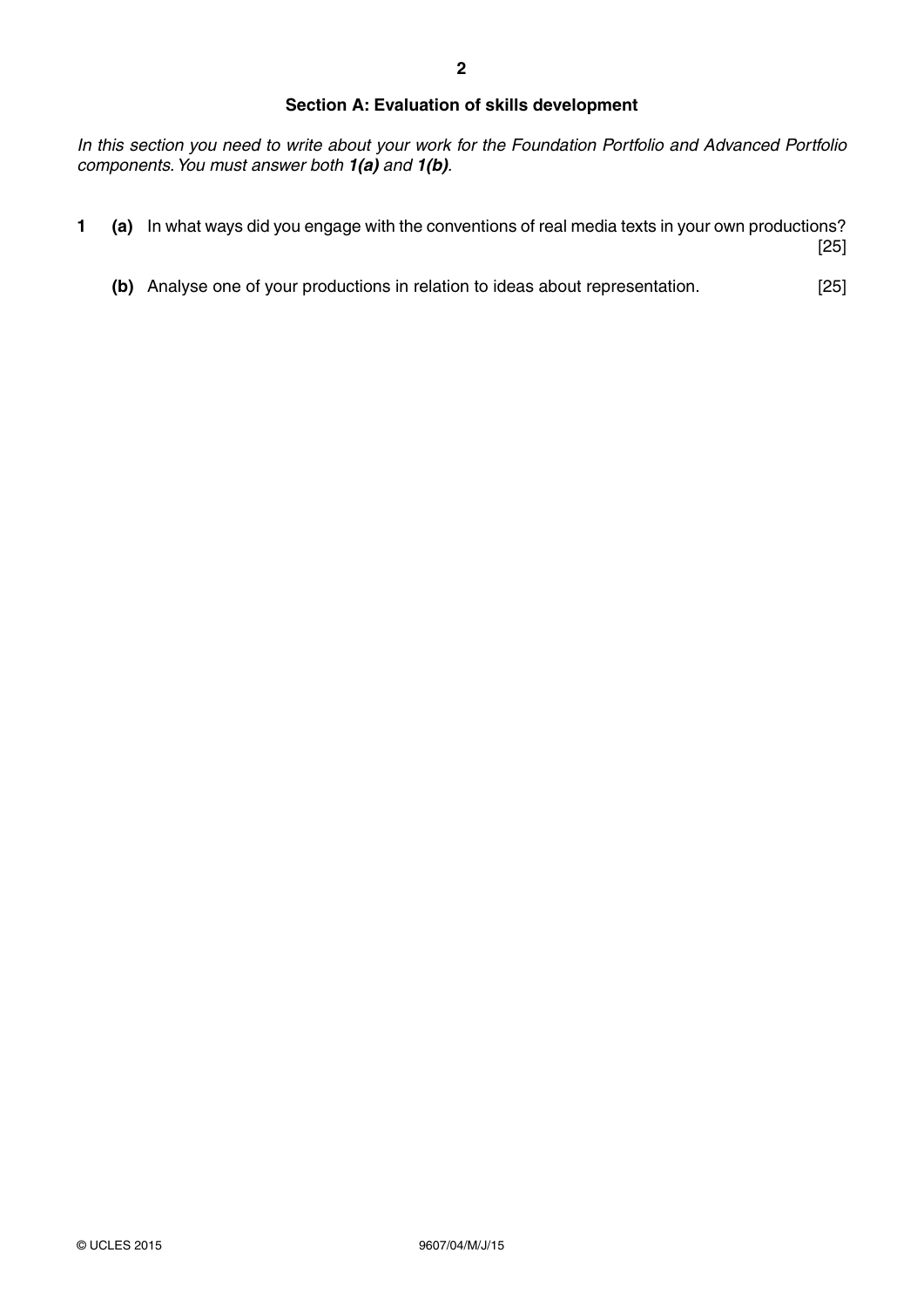## **Section A: Evaluation of skills development**

*In this section you need to write about your work for the Foundation Portfolio and Advanced Portfolio components. You must answer both 1(a) and 1(b).*

- **1 (a)** In what ways did you engage with the conventions of real media texts in your own productions? [25]
	- **(b)** Analyse one of your productions in relation to ideas about representation. [25]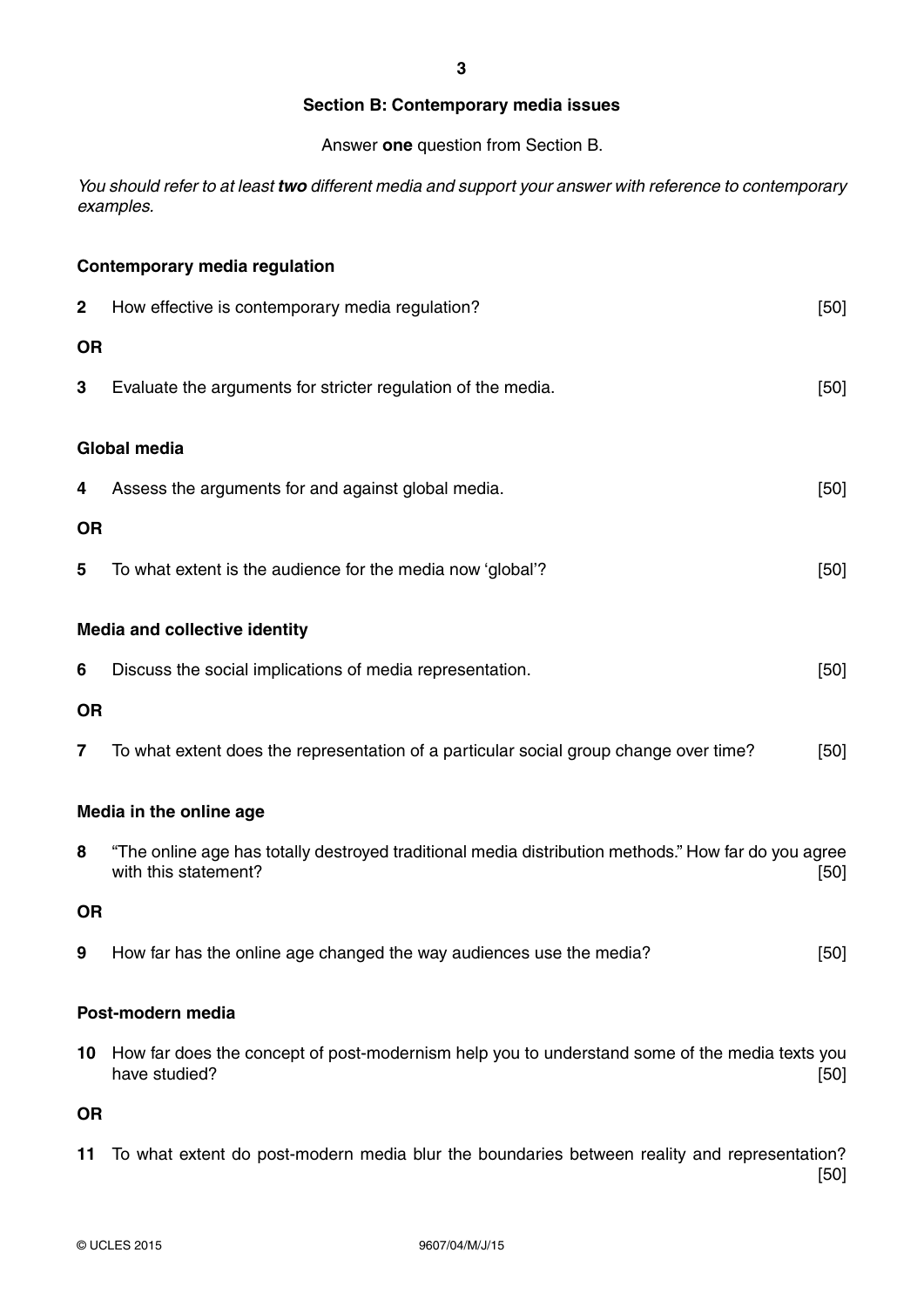#### **Section B: Contemporary media issues**

Answer **one** question from Section B.

*You should refer to at least two different media and support your answer with reference to contemporary examples.*

# **Contemporary media regulation**

| 2                                    | How effective is contemporary media regulation?                                                                             | [50] |
|--------------------------------------|-----------------------------------------------------------------------------------------------------------------------------|------|
| <b>OR</b>                            |                                                                                                                             |      |
| 3                                    | Evaluate the arguments for stricter regulation of the media.                                                                | [50] |
| <b>Global media</b>                  |                                                                                                                             |      |
| 4                                    | Assess the arguments for and against global media.                                                                          | [50] |
| <b>OR</b>                            |                                                                                                                             |      |
| 5                                    | To what extent is the audience for the media now 'global'?                                                                  | [50] |
| <b>Media and collective identity</b> |                                                                                                                             |      |
| 6                                    | Discuss the social implications of media representation.                                                                    | [50] |
| <b>OR</b>                            |                                                                                                                             |      |
| 7                                    | To what extent does the representation of a particular social group change over time?                                       | [50] |
| Media in the online age              |                                                                                                                             |      |
| 8                                    | "The online age has totally destroyed traditional media distribution methods." How far do you agree<br>with this statement? | [50] |
| <b>OR</b>                            |                                                                                                                             |      |
| 9                                    | How far has the online age changed the way audiences use the media?                                                         | [50] |
| Post-modern media                    |                                                                                                                             |      |
| 10                                   | How far does the concept of post-modernism help you to understand some of the media texts you<br>have studied?              | [50] |
| <b>OR</b>                            |                                                                                                                             |      |

**11** To what extent do post-modern media blur the boundaries between reality and representation? [50]